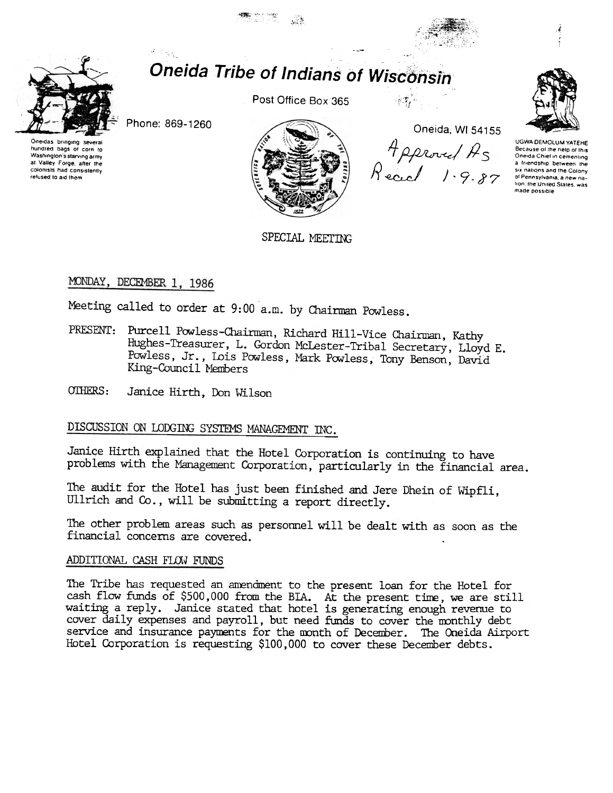

## **Oneida Tribe of Indians of Wisconsin**

- 23

Phone: 869-1260

a Cap

Oneidas bringing several hundred bags of corn to Washington's starving army at Valley Forge, after the colonists had consistently refused to aid them

Post Office Box 365



重零

Oneida, WI 54155 Approved As<br>Reach 1.9.87



UGWA DEMOLUM YATEHE Because of the help of this<br>Oneida Chief in cementing a triendship between the six nations and the Colony of Pennsylvania, a new nation, the United States, was made possible

SPECIAL MEETING

## MONDAY, DECEMBER 1, 1986

Meeting called to order at 9:00 a.m. by Chairman Powless.

- PRESENT: Purcell Powless-Chairman, Richard Hill-Vice Chairman, Kathy Hughes-Treasurer, L. Gordon McLester-Tribal Secretary, Lloyd E. Powless, Jr., Lois Powless, Mark Powless, Tony Benson, David King-Council Members
- OTHERS: Janice Hirth, Don Wilson

## DISCUSSION ON LODGING SYSTEMS MANAGEMENT INC.

Janice Hirth explained that the Hotel Corporation is continuing to have problems with the Management Corporation, particularly in the financial area.

The audit for the Hotel has just been finished and Jere Dhein of Wipfli, Ullrich and Co., will be submitting a report directly.

The other problem areas such as personnel will be dealt with as soon as the financial concerns are covered.

## ADDITIONAL CASH FLOW FUNDS

The Tribe has requested an amendment to the present loan for the Hotel for cash flow funds of \$500,000 from the BIA. At the present time, we are still waiting a reply. Janice stated that hotel is generating enough revenue to cover daily expenses and payroll, but need funds to cover the monthly debt service and insurance payments for the month of December. The Oneida Airport Hotel Corporation is requesting \$100,000 to cover these December debts.